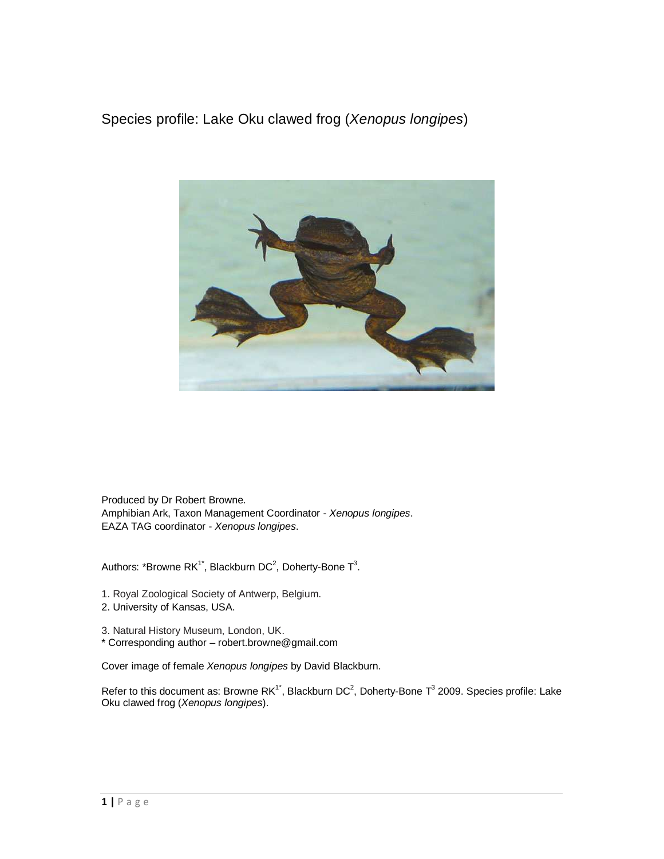# Species profile: Lake Oku clawed frog (Xenopus longipes)



Produced by Dr Robert Browne. Amphibian Ark, Taxon Management Coordinator - Xenopus longipes. EAZA TAG coordinator - Xenopus longipes.

Authors: \*Browne RK<sup>1\*</sup>, Blackburn DC<sup>2</sup>, Doherty-Bone T<sup>3</sup>.

- 1. Royal Zoological Society of Antwerp, Belgium.
- 2. University of Kansas, USA.
- 3. Natural History Museum, London, UK. \* Corresponding author – robert.browne@gmail.com

Cover image of female Xenopus longipes by David Blackburn.

Refer to this document as: Browne RK<sup>1\*</sup>, Blackburn DC<sup>2</sup>, Doherty-Bone T<sup>3</sup> 2009. Species profile: Lake Oku clawed frog (Xenopus longipes).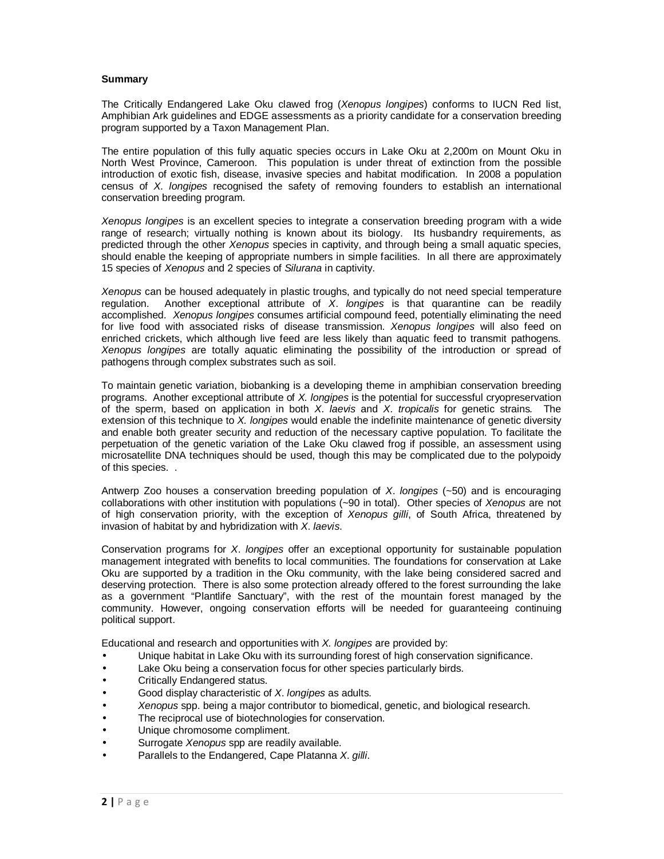### **Summary**

The Critically Endangered Lake Oku clawed frog (Xenopus longipes) conforms to IUCN Red list, Amphibian Ark guidelines and EDGE assessments as a priority candidate for a conservation breeding program supported by a Taxon Management Plan.

The entire population of this fully aquatic species occurs in Lake Oku at 2,200m on Mount Oku in North West Province, Cameroon. This population is under threat of extinction from the possible introduction of exotic fish, disease, invasive species and habitat modification. In 2008 a population census of X. longipes recognised the safety of removing founders to establish an international conservation breeding program.

Xenopus longipes is an excellent species to integrate a conservation breeding program with a wide range of research; virtually nothing is known about its biology. Its husbandry requirements, as predicted through the other Xenopus species in captivity, and through being a small aquatic species, should enable the keeping of appropriate numbers in simple facilities. In all there are approximately 15 species of Xenopus and 2 species of Silurana in captivity.

Xenopus can be housed adequately in plastic troughs, and typically do not need special temperature regulation. Another exceptional attribute of  $X$ . longipes is that quarantine can be readily accomplished. Xenopus longipes consumes artificial compound feed, potentially eliminating the need for live food with associated risks of disease transmission. *Xenopus longipes* will also feed on enriched crickets, which although live feed are less likely than aquatic feed to transmit pathogens. Xenopus longipes are totally aquatic eliminating the possibility of the introduction or spread of pathogens through complex substrates such as soil.

To maintain genetic variation, biobanking is a developing theme in amphibian conservation breeding programs. Another exceptional attribute of X. longipes is the potential for successful cryopreservation of the sperm, based on application in both X. laevis and X. tropicalis for genetic strains. The extension of this technique to X. longipes would enable the indefinite maintenance of genetic diversity and enable both greater security and reduction of the necessary captive population. To facilitate the perpetuation of the genetic variation of the Lake Oku clawed frog if possible, an assessment using microsatellite DNA techniques should be used, though this may be complicated due to the polypoidy of this species. .

Antwerp Zoo houses a conservation breeding population of X. longipes  $(-50)$  and is encouraging collaborations with other institution with populations (~90 in total). Other species of Xenopus are not of high conservation priority, with the exception of Xenopus gilli, of South Africa, threatened by invasion of habitat by and hybridization with X. laevis.

Conservation programs for X. longipes offer an exceptional opportunity for sustainable population management integrated with benefits to local communities. The foundations for conservation at Lake Oku are supported by a tradition in the Oku community, with the lake being considered sacred and deserving protection. There is also some protection already offered to the forest surrounding the lake as a government "Plantlife Sanctuary", with the rest of the mountain forest managed by the community. However, ongoing conservation efforts will be needed for guaranteeing continuing political support.

Educational and research and opportunities with X. longipes are provided by:

- Unique habitat in Lake Oku with its surrounding forest of high conservation significance.
- Lake Oku being a conservation focus for other species particularly birds.
- Critically Endangered status.
- Good display characteristic of X. longipes as adults.
- Xenopus spp. being a major contributor to biomedical, genetic, and biological research.
- The reciprocal use of biotechnologies for conservation.
- Unique chromosome compliment.
- Surrogate Xenopus spp are readily available.
- Parallels to the Endangered, Cape Platanna X. gilli.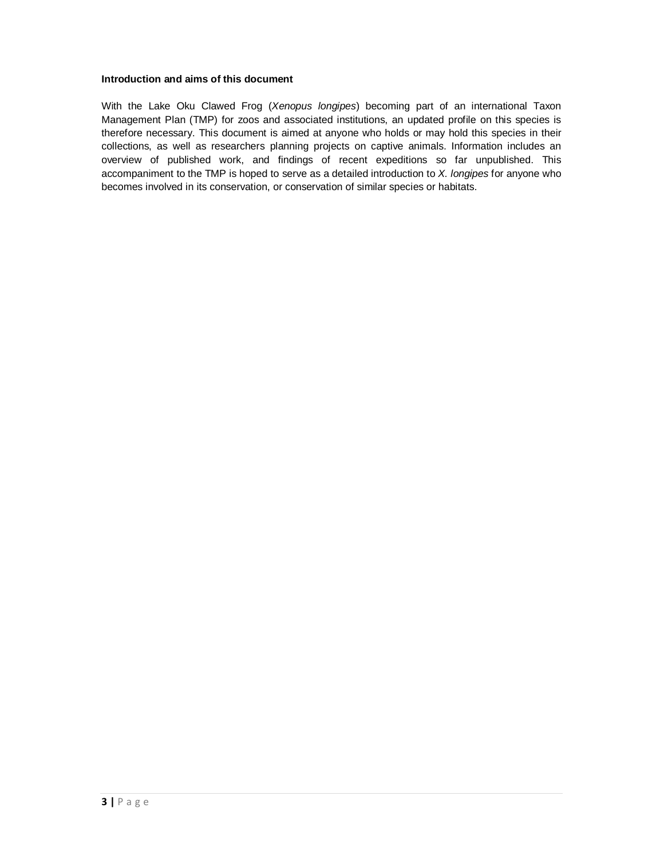## **Introduction and aims of this document**

With the Lake Oku Clawed Frog (Xenopus longipes) becoming part of an international Taxon Management Plan (TMP) for zoos and associated institutions, an updated profile on this species is therefore necessary. This document is aimed at anyone who holds or may hold this species in their collections, as well as researchers planning projects on captive animals. Information includes an overview of published work, and findings of recent expeditions so far unpublished. This accompaniment to the TMP is hoped to serve as a detailed introduction to X. longipes for anyone who becomes involved in its conservation, or conservation of similar species or habitats.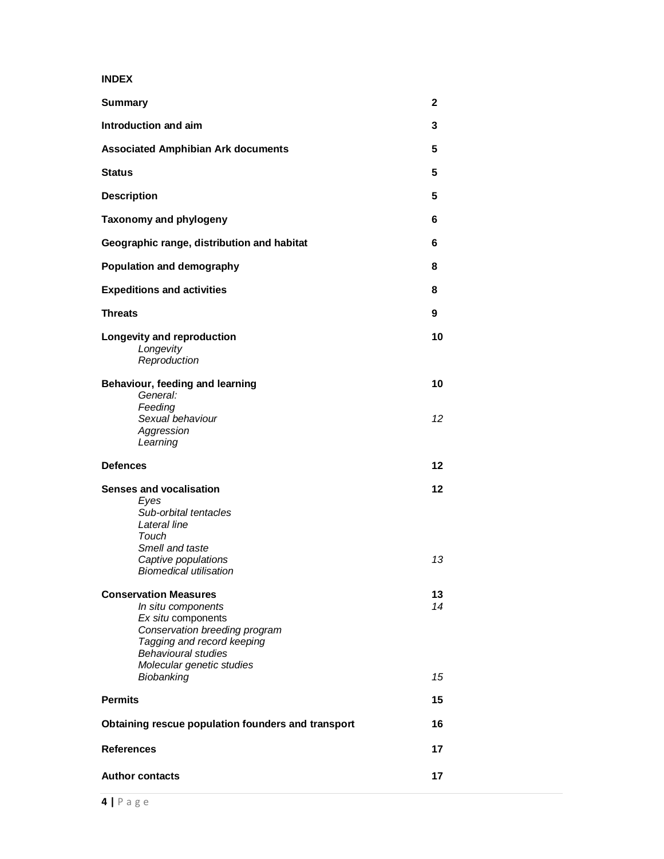## **INDEX**

| <b>Summary</b>                                                                                                                                                                                                   | $\mathbf{2}$   |
|------------------------------------------------------------------------------------------------------------------------------------------------------------------------------------------------------------------|----------------|
| Introduction and aim                                                                                                                                                                                             | 3              |
| <b>Associated Amphibian Ark documents</b>                                                                                                                                                                        | 5              |
| <b>Status</b>                                                                                                                                                                                                    | 5              |
| <b>Description</b>                                                                                                                                                                                               | 5              |
| <b>Taxonomy and phylogeny</b>                                                                                                                                                                                    | 6              |
| Geographic range, distribution and habitat                                                                                                                                                                       | 6              |
| <b>Population and demography</b>                                                                                                                                                                                 | 8              |
| <b>Expeditions and activities</b>                                                                                                                                                                                | 8              |
| <b>Threats</b>                                                                                                                                                                                                   | 9              |
| Longevity and reproduction<br>Longevity<br>Reproduction                                                                                                                                                          | 10             |
| Behaviour, feeding and learning<br>General:                                                                                                                                                                      | 10             |
| Feeding<br>Sexual behaviour<br>Aggression<br>Learning                                                                                                                                                            | 12             |
| <b>Defences</b>                                                                                                                                                                                                  | 12             |
| <b>Senses and vocalisation</b><br>Eyes<br>Sub-orbital tentacles<br>Lateral line<br>Touch<br>Smell and taste<br>Captive populations<br><b>Biomedical utilisation</b>                                              | 12<br>13       |
| <b>Conservation Measures</b><br>In situ components<br>Ex situ components<br>Conservation breeding program<br>Tagging and record keeping<br><b>Behavioural studies</b><br>Molecular genetic studies<br>Biobanking | 13<br>14<br>15 |
| <b>Permits</b>                                                                                                                                                                                                   | 15             |
| Obtaining rescue population founders and transport                                                                                                                                                               | 16             |
| <b>References</b>                                                                                                                                                                                                | 17             |
| <b>Author contacts</b>                                                                                                                                                                                           | 17             |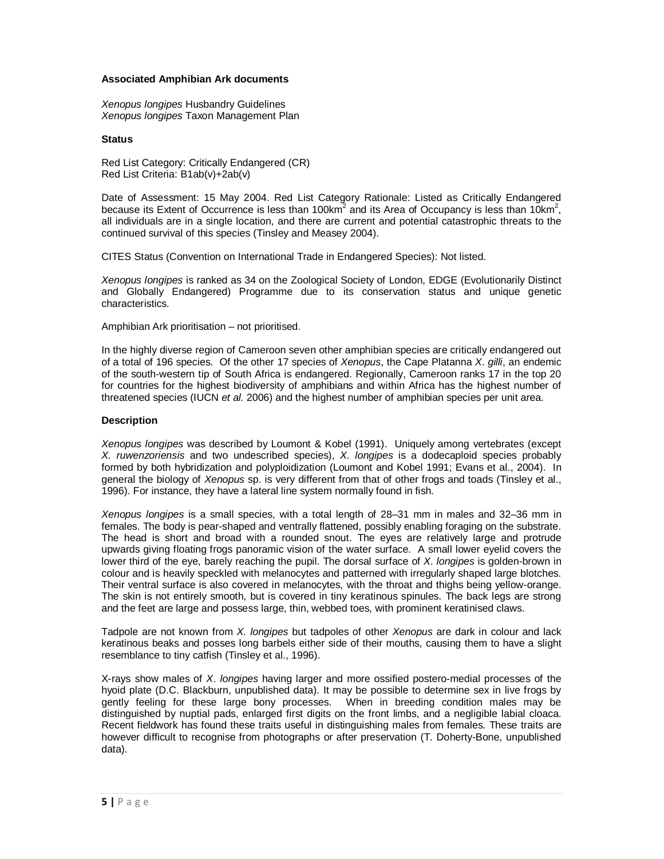#### **Associated Amphibian Ark documents**

Xenopus longipes Husbandry Guidelines Xenopus longipes Taxon Management Plan

#### **Status**

Red List Category: Critically Endangered (CR) Red List Criteria: B1ab(v)+2ab(v)

Date of Assessment: 15 May 2004. Red List Category Rationale: Listed as Critically Endangered because its Extent of Occurrence is less than 100km<sup>2</sup> and its Area of Occupancy is less than 10km<sup>2</sup>, all individuals are in a single location, and there are current and potential catastrophic threats to the continued survival of this species (Tinsley and Measey 2004).

CITES Status (Convention on International Trade in Endangered Species): Not listed.

Xenopus longipes is ranked as 34 on the Zoological Society of London, EDGE (Evolutionarily Distinct and Globally Endangered) Programme due to its conservation status and unique genetic characteristics.

Amphibian Ark prioritisation – not prioritised.

In the highly diverse region of Cameroon seven other amphibian species are critically endangered out of a total of 196 species. Of the other 17 species of Xenopus, the Cape Platanna X. gilli, an endemic of the south-western tip of South Africa is endangered. Regionally, Cameroon ranks 17 in the top 20 for countries for the highest biodiversity of amphibians and within Africa has the highest number of threatened species (IUCN et al. 2006) and the highest number of amphibian species per unit area.

## **Description**

Xenopus longipes was described by Loumont & Kobel (1991). Uniquely among vertebrates (except X. ruwenzoriensis and two undescribed species), X. longipes is a dodecaploid species probably formed by both hybridization and polyploidization (Loumont and Kobel 1991; Evans et al., 2004). In general the biology of Xenopus sp. is very different from that of other frogs and toads (Tinsley et al., 1996). For instance, they have a lateral line system normally found in fish.

Xenopus longipes is a small species, with a total length of 28–31 mm in males and 32–36 mm in females. The body is pear-shaped and ventrally flattened, possibly enabling foraging on the substrate. The head is short and broad with a rounded snout. The eyes are relatively large and protrude upwards giving floating frogs panoramic vision of the water surface. A small lower eyelid covers the lower third of the eye, barely reaching the pupil. The dorsal surface of X. longipes is golden-brown in colour and is heavily speckled with melanocytes and patterned with irregularly shaped large blotches. Their ventral surface is also covered in melanocytes, with the throat and thighs being yellow-orange. The skin is not entirely smooth, but is covered in tiny keratinous spinules. The back legs are strong and the feet are large and possess large, thin, webbed toes, with prominent keratinised claws.

Tadpole are not known from X. longipes but tadpoles of other Xenopus are dark in colour and lack keratinous beaks and posses long barbels either side of their mouths, causing them to have a slight resemblance to tiny catfish (Tinsley et al., 1996).

X-rays show males of X. longipes having larger and more ossified postero-medial processes of the hyoid plate (D.C. Blackburn, unpublished data). It may be possible to determine sex in live frogs by gently feeling for these large bony processes. When in breeding condition males may be distinguished by nuptial pads, enlarged first digits on the front limbs, and a negligible labial cloaca. Recent fieldwork has found these traits useful in distinguishing males from females. These traits are however difficult to recognise from photographs or after preservation (T. Doherty-Bone, unpublished data).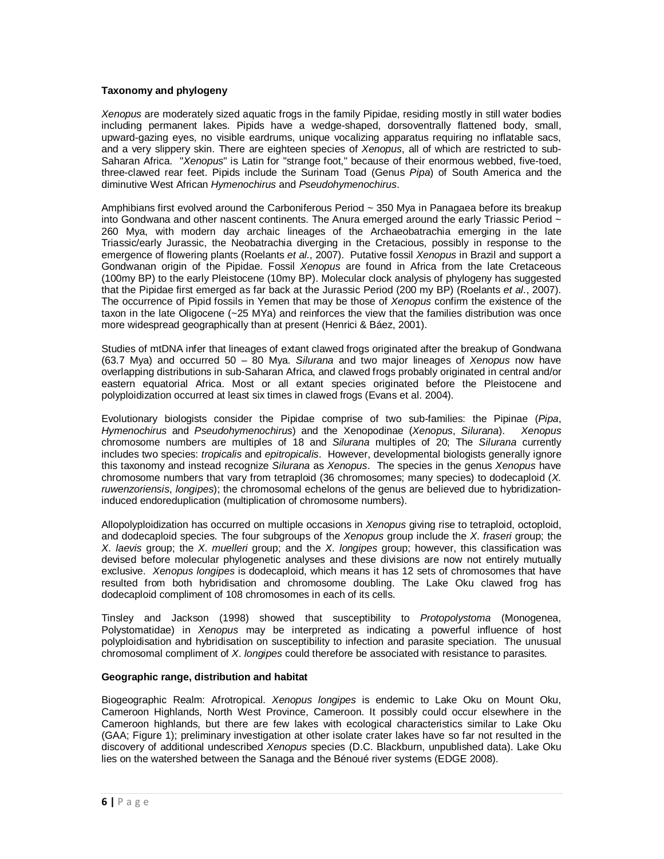### **Taxonomy and phylogeny**

Xenopus are moderately sized aquatic frogs in the family Pipidae, residing mostly in still water bodies including permanent lakes. Pipids have a wedge-shaped, dorsoventrally flattened body, small, upward-gazing eyes, no visible eardrums, unique vocalizing apparatus requiring no inflatable sacs, and a very slippery skin. There are eighteen species of Xenopus, all of which are restricted to sub-Saharan Africa. "Xenopus" is Latin for "strange foot," because of their enormous webbed, five-toed, three-clawed rear feet. Pipids include the Surinam Toad (Genus Pipa) of South America and the diminutive West African Hymenochirus and Pseudohymenochirus.

Amphibians first evolved around the Carboniferous Period ~ 350 Mya in Panagaea before its breakup into Gondwana and other nascent continents. The Anura emerged around the early Triassic Period ~ 260 Mya, with modern day archaic lineages of the Archaeobatrachia emerging in the late Triassic/early Jurassic, the Neobatrachia diverging in the Cretacious, possibly in response to the emergence of flowering plants (Roelants et al., 2007). Putative fossil Xenopus in Brazil and support a Gondwanan origin of the Pipidae. Fossil Xenopus are found in Africa from the late Cretaceous (100my BP) to the early Pleistocene (10my BP). Molecular clock analysis of phylogeny has suggested that the Pipidae first emerged as far back at the Jurassic Period (200 my BP) (Roelants et al., 2007). The occurrence of Pipid fossils in Yemen that may be those of Xenopus confirm the existence of the taxon in the late Oligocene (~25 MYa) and reinforces the view that the families distribution was once more widespread geographically than at present (Henrici & Báez, 2001).

Studies of mtDNA infer that lineages of extant clawed frogs originated after the breakup of Gondwana (63.7 Mya) and occurred 50 – 80 Mya. Silurana and two major lineages of Xenopus now have overlapping distributions in sub-Saharan Africa, and clawed frogs probably originated in central and/or eastern equatorial Africa. Most or all extant species originated before the Pleistocene and polyploidization occurred at least six times in clawed frogs (Evans et al. 2004).

Evolutionary biologists consider the Pipidae comprise of two sub-families: the Pipinae (Pipa, Hymenochirus and Pseudohymenochirus) and the Xenopodinae (Xenopus, Silurana). Xenopus chromosome numbers are multiples of 18 and Silurana multiples of 20; The Silurana currently includes two species: tropicalis and epitropicalis. However, developmental biologists generally ignore this taxonomy and instead recognize Silurana as Xenopus. The species in the genus Xenopus have chromosome numbers that vary from tetraploid (36 chromosomes; many species) to dodecaploid (X. ruwenzoriensis, longipes); the chromosomal echelons of the genus are believed due to hybridizationinduced endoreduplication (multiplication of chromosome numbers).

Allopolyploidization has occurred on multiple occasions in Xenopus giving rise to tetraploid, octoploid, and dodecaploid species. The four subgroups of the Xenopus group include the X. fraseri group; the X. laevis group; the X. muelleri group; and the X. longipes group; however, this classification was devised before molecular phylogenetic analyses and these divisions are now not entirely mutually exclusive. Xenopus longipes is dodecaploid, which means it has 12 sets of chromosomes that have resulted from both hybridisation and chromosome doubling. The Lake Oku clawed frog has dodecaploid compliment of 108 chromosomes in each of its cells.

Tinsley and Jackson (1998) showed that susceptibility to Protopolystoma (Monogenea, Polystomatidae) in Xenopus may be interpreted as indicating a powerful influence of host polyploidisation and hybridisation on susceptibility to infection and parasite speciation. The unusual chromosomal compliment of X. longipes could therefore be associated with resistance to parasites.

## **Geographic range, distribution and habitat**

Biogeographic Realm: Afrotropical. Xenopus longipes is endemic to Lake Oku on Mount Oku, Cameroon Highlands, North West Province, Cameroon. It possibly could occur elsewhere in the Cameroon highlands, but there are few lakes with ecological characteristics similar to Lake Oku (GAA; Figure 1); preliminary investigation at other isolate crater lakes have so far not resulted in the discovery of additional undescribed Xenopus species (D.C. Blackburn, unpublished data). Lake Oku lies on the watershed between the Sanaga and the Bénoué river systems (EDGE 2008).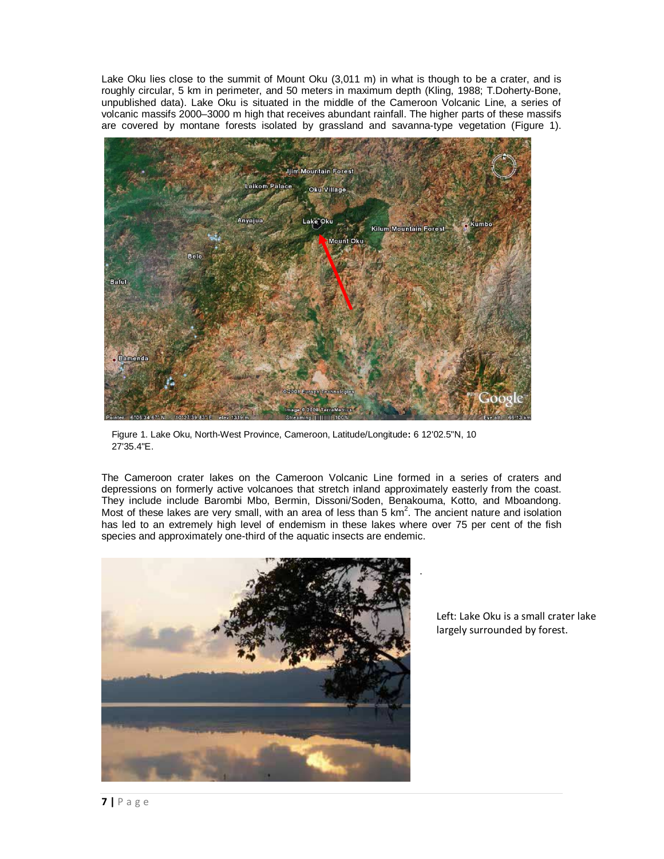Lake Oku lies close to the summit of Mount Oku (3,011 m) in what is though to be a crater, and is roughly circular, 5 km in perimeter, and 50 meters in maximum depth (Kling, 1988; T.Doherty-Bone, unpublished data). Lake Oku is situated in the middle of the Cameroon Volcanic Line, a series of volcanic massifs 2000–3000 m high that receives abundant rainfall. The higher parts of these massifs are covered by montane forests isolated by grassland and savanna-type vegetation (Figure 1).



Figure 1. Lake Oku, North-West Province, Cameroon, Latitude/Longitude**:** 6 12'02.5"N, 10 27'35.4"E.

The Cameroon crater lakes on the Cameroon Volcanic Line formed in a series of craters and depressions on formerly active volcanoes that stretch inland approximately easterly from the coast. They include include Barombi Mbo, Bermin, Dissoni/Soden, Benakouma, Kotto, and Mboandong. Most of these lakes are very small, with an area of less than 5 km<sup>2</sup>. The ancient nature and isolation has led to an extremely high level of endemism in these lakes where over 75 per cent of the fish species and approximately one-third of the aquatic insects are endemic.



Left: Lake Oku is a small crater lake largely surrounded by forest.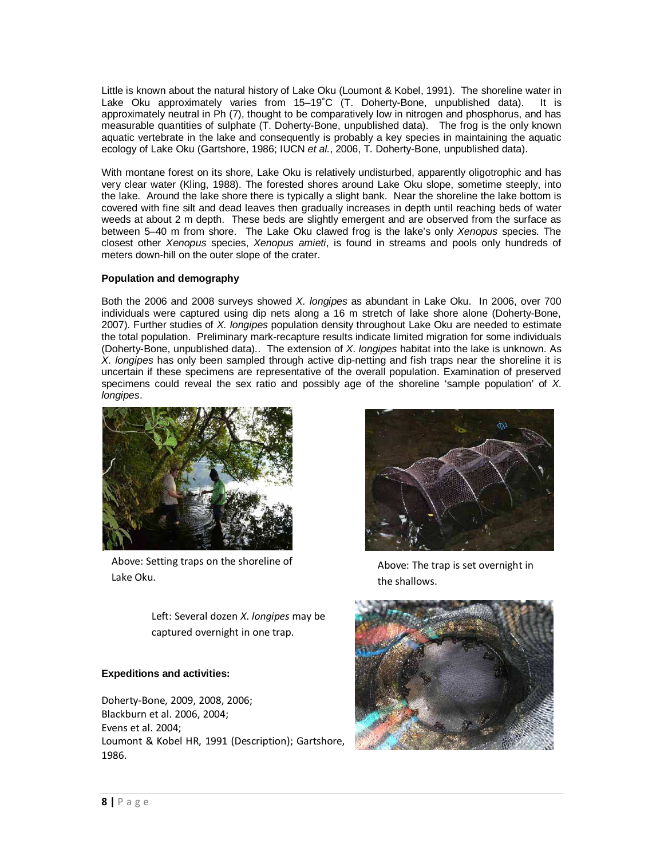Little is known about the natural history of Lake Oku (Loumont & Kobel, 1991). The shoreline water in Lake Oku approximately varies from 15-19°C (T. Doherty-Bone, unpublished data). It is approximately neutral in Ph (7), thought to be comparatively low in nitrogen and phosphorus, and has measurable quantities of sulphate (T. Doherty-Bone, unpublished data). The frog is the only known aquatic vertebrate in the lake and consequently is probably a key species in maintaining the aquatic ecology of Lake Oku (Gartshore, 1986; IUCN et al., 2006, T. Doherty-Bone, unpublished data).

With montane forest on its shore, Lake Oku is relatively undisturbed, apparently oligotrophic and has very clear water (Kling, 1988). The forested shores around Lake Oku slope, sometime steeply, into the lake. Around the lake shore there is typically a slight bank. Near the shoreline the lake bottom is covered with fine silt and dead leaves then gradually increases in depth until reaching beds of water weeds at about 2 m depth. These beds are slightly emergent and are observed from the surface as between 5–40 m from shore. The Lake Oku clawed frog is the lake's only Xenopus species. The closest other Xenopus species, Xenopus amieti, is found in streams and pools only hundreds of meters down-hill on the outer slope of the crater.

#### **Population and demography**

Both the 2006 and 2008 surveys showed X. longipes as abundant in Lake Oku. In 2006, over 700 individuals were captured using dip nets along a 16 m stretch of lake shore alone (Doherty-Bone, 2007). Further studies of X. longipes population density throughout Lake Oku are needed to estimate the total population. Preliminary mark-recapture results indicate limited migration for some individuals (Doherty-Bone, unpublished data).. The extension of X. longipes habitat into the lake is unknown. As X. longipes has only been sampled through active dip-netting and fish traps near the shoreline it is uncertain if these specimens are representative of the overall population. Examination of preserved specimens could reveal the sex ratio and possibly age of the shoreline 'sample population' of X. longipes.



Above: Setting traps on the shoreline of Lake Oku.

Left: Several dozen X. longipes may be captured overnight in one trap.

## **Expeditions and activities:**

Doherty-Bone, 2009, 2008, 2006; Blackburn et al. 2006, 2004; Evens et al. 2004; Loumont & Kobel HR, 1991 (Description); Gartshore, 1986.



Above: The trap is set overnight in the shallows.

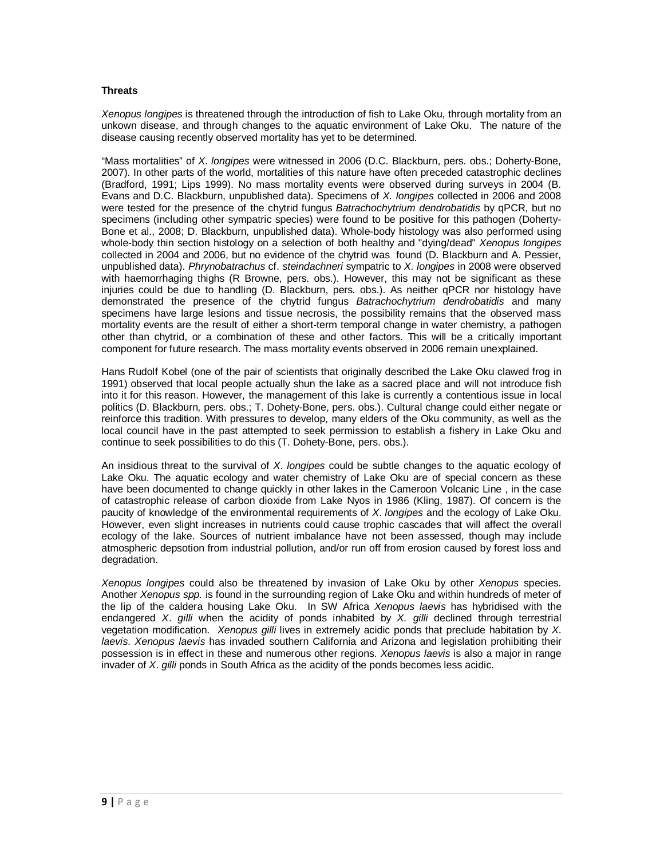#### **Threats**

Xenopus longipes is threatened through the introduction of fish to Lake Oku, through mortality from an unkown disease, and through changes to the aquatic environment of Lake Oku. The nature of the disease causing recently observed mortality has yet to be determined.

"Mass mortalities" of X. longipes were witnessed in 2006 (D.C. Blackburn, pers. obs.; Doherty-Bone, 2007). In other parts of the world, mortalities of this nature have often preceded catastrophic declines (Bradford, 1991; Lips 1999). No mass mortality events were observed during surveys in 2004 (B. Evans and D.C. Blackburn, unpublished data). Specimens of X. longipes collected in 2006 and 2008 were tested for the presence of the chytrid fungus Batrachochytrium dendrobatidis by qPCR, but no specimens (including other sympatric species) were found to be positive for this pathogen (Doherty-Bone et al., 2008; D. Blackburn, unpublished data). Whole-body histology was also performed using whole-body thin section histology on a selection of both healthy and "dying/dead" Xenopus longipes collected in 2004 and 2006, but no evidence of the chytrid was found (D. Blackburn and A. Pessier, unpublished data). Phrynobatrachus cf. steindachneri sympatric to X. longipes in 2008 were observed with haemorrhaging thighs (R Browne, pers. obs.). However, this may not be significant as these injuries could be due to handling (D. Blackburn, pers. obs.). As neither qPCR nor histology have demonstrated the presence of the chytrid fungus Batrachochytrium dendrobatidis and many specimens have large lesions and tissue necrosis, the possibility remains that the observed mass mortality events are the result of either a short-term temporal change in water chemistry, a pathogen other than chytrid, or a combination of these and other factors. This will be a critically important component for future research. The mass mortality events observed in 2006 remain unexplained.

Hans Rudolf Kobel (one of the pair of scientists that originally described the Lake Oku clawed frog in 1991) observed that local people actually shun the lake as a sacred place and will not introduce fish into it for this reason. However, the management of this lake is currently a contentious issue in local politics (D. Blackburn, pers. obs.; T. Dohety-Bone, pers. obs.). Cultural change could either negate or reinforce this tradition. With pressures to develop, many elders of the Oku community, as well as the local council have in the past attempted to seek permission to establish a fishery in Lake Oku and continue to seek possibilities to do this (T. Dohety-Bone, pers. obs.).

An insidious threat to the survival of X. longipes could be subtle changes to the aquatic ecology of Lake Oku. The aquatic ecology and water chemistry of Lake Oku are of special concern as these have been documented to change quickly in other lakes in the Cameroon Volcanic Line , in the case of catastrophic release of carbon dioxide from Lake Nyos in 1986 (Kling, 1987). Of concern is the paucity of knowledge of the environmental requirements of X. longipes and the ecology of Lake Oku. However, even slight increases in nutrients could cause trophic cascades that will affect the overall ecology of the lake. Sources of nutrient imbalance have not been assessed, though may include atmospheric depsotion from industrial pollution, and/or run off from erosion caused by forest loss and degradation.

Xenopus longipes could also be threatened by invasion of Lake Oku by other Xenopus species. Another Xenopus spp. is found in the surrounding region of Lake Oku and within hundreds of meter of the lip of the caldera housing Lake Oku. In SW Africa Xenopus laevis has hybridised with the endangered X. gilli when the acidity of ponds inhabited by X. gilli declined through terrestrial vegetation modification. *Xenopus gilli* lives in extremely acidic ponds that preclude habitation by X. laevis. Xenopus laevis has invaded southern California and Arizona and legislation prohibiting their possession is in effect in these and numerous other regions. Xenopus laevis is also a major in range invader of X. gilli ponds in South Africa as the acidity of the ponds becomes less acidic.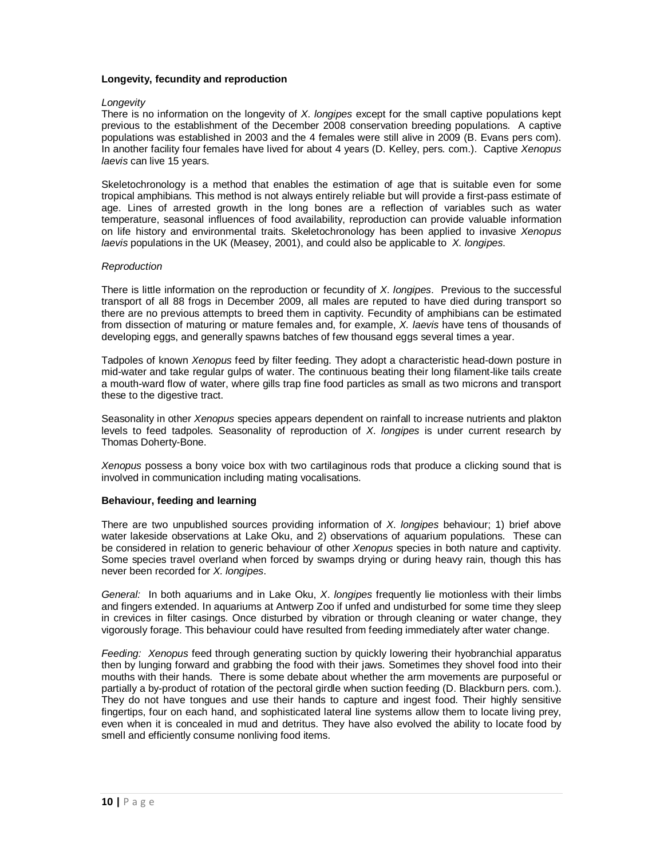#### **Longevity, fecundity and reproduction**

#### Longevity

There is no information on the longevity of X. longipes except for the small captive populations kept previous to the establishment of the December 2008 conservation breeding populations. A captive populations was established in 2003 and the 4 females were still alive in 2009 (B. Evans pers com). In another facility four females have lived for about 4 years (D. Kelley, pers. com.). Captive Xenopus laevis can live 15 years.

Skeletochronology is a method that enables the estimation of age that is suitable even for some tropical amphibians. This method is not always entirely reliable but will provide a first-pass estimate of age. Lines of arrested growth in the long bones are a reflection of variables such as water temperature, seasonal influences of food availability, reproduction can provide valuable information on life history and environmental traits. Skeletochronology has been applied to invasive Xenopus laevis populations in the UK (Measey, 2001), and could also be applicable to X. longipes.

#### **Reproduction**

There is little information on the reproduction or fecundity of X. longipes. Previous to the successful transport of all 88 frogs in December 2009, all males are reputed to have died during transport so there are no previous attempts to breed them in captivity. Fecundity of amphibians can be estimated from dissection of maturing or mature females and, for example, X. laevis have tens of thousands of developing eggs, and generally spawns batches of few thousand eggs several times a year.

Tadpoles of known Xenopus feed by filter feeding. They adopt a characteristic head-down posture in mid-water and take regular gulps of water. The continuous beating their long filament-like tails create a mouth-ward flow of water, where gills trap fine food particles as small as two microns and transport these to the digestive tract.

Seasonality in other Xenopus species appears dependent on rainfall to increase nutrients and plakton levels to feed tadpoles. Seasonality of reproduction of  $X$ . longipes is under current research by Thomas Doherty-Bone.

Xenopus possess a bony voice box with two cartilaginous rods that produce a clicking sound that is involved in communication including mating vocalisations.

## **Behaviour, feeding and learning**

There are two unpublished sources providing information of X. longipes behaviour; 1) brief above water lakeside observations at Lake Oku, and 2) observations of aquarium populations. These can be considered in relation to generic behaviour of other Xenopus species in both nature and captivity. Some species travel overland when forced by swamps drying or during heavy rain, though this has never been recorded for X. longipes.

General: In both aquariums and in Lake Oku, X. longipes frequently lie motionless with their limbs and fingers extended. In aquariums at Antwerp Zoo if unfed and undisturbed for some time they sleep in crevices in filter casings. Once disturbed by vibration or through cleaning or water change, they vigorously forage. This behaviour could have resulted from feeding immediately after water change.

Feeding: Xenopus feed through generating suction by quickly lowering their hyobranchial apparatus then by lunging forward and grabbing the food with their jaws. Sometimes they shovel food into their mouths with their hands. There is some debate about whether the arm movements are purposeful or partially a by-product of rotation of the pectoral girdle when suction feeding (D. Blackburn pers. com.). They do not have tongues and use their hands to capture and ingest food. Their highly sensitive fingertips, four on each hand, and sophisticated lateral line systems allow them to locate living prey, even when it is concealed in mud and detritus. They have also evolved the ability to locate food by smell and efficiently consume nonliving food items.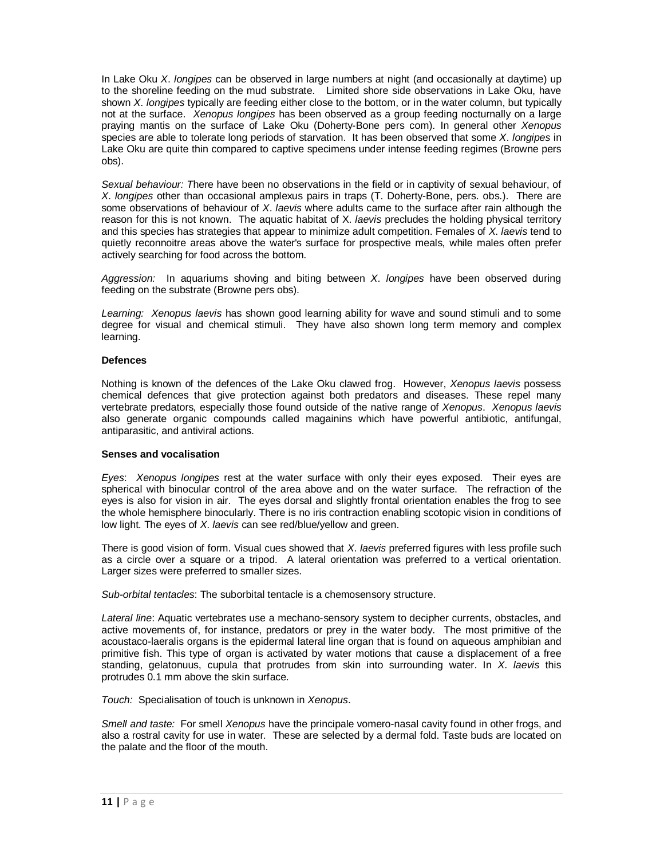In Lake Oku X. longipes can be observed in large numbers at night (and occasionally at daytime) up to the shoreline feeding on the mud substrate. Limited shore side observations in Lake Oku, have shown X. longipes typically are feeding either close to the bottom, or in the water column, but typically not at the surface. Xenopus longipes has been observed as a group feeding nocturnally on a large praying mantis on the surface of Lake Oku (Doherty-Bone pers com). In general other Xenopus species are able to tolerate long periods of starvation. It has been observed that some X. longipes in Lake Oku are quite thin compared to captive specimens under intense feeding regimes (Browne pers obs).

Sexual behaviour: There have been no observations in the field or in captivity of sexual behaviour, of X. longipes other than occasional amplexus pairs in traps (T. Doherty-Bone, pers. obs.). There are some observations of behaviour of X. laevis where adults came to the surface after rain although the reason for this is not known. The aquatic habitat of X. laevis precludes the holding physical territory and this species has strategies that appear to minimize adult competition. Females of X. laevis tend to quietly reconnoitre areas above the water's surface for prospective meals, while males often prefer actively searching for food across the bottom.

Aggression: In aquariums shoving and biting between X. longipes have been observed during feeding on the substrate (Browne pers obs).

Learning: Xenopus laevis has shown good learning ability for wave and sound stimuli and to some degree for visual and chemical stimuli. They have also shown long term memory and complex learning.

## **Defences**

Nothing is known of the defences of the Lake Oku clawed frog. However, Xenopus laevis possess chemical defences that give protection against both predators and diseases. These repel many vertebrate predators, especially those found outside of the native range of Xenopus. Xenopus laevis also generate organic compounds called magainins which have powerful antibiotic, antifungal, antiparasitic, and antiviral actions.

## **Senses and vocalisation**

Eyes: Xenopus longipes rest at the water surface with only their eyes exposed. Their eyes are spherical with binocular control of the area above and on the water surface. The refraction of the eyes is also for vision in air. The eyes dorsal and slightly frontal orientation enables the frog to see the whole hemisphere binocularly. There is no iris contraction enabling scotopic vision in conditions of low light. The eyes of X. laevis can see red/blue/yellow and green.

There is good vision of form. Visual cues showed that X. laevis preferred figures with less profile such as a circle over a square or a tripod. A lateral orientation was preferred to a vertical orientation. Larger sizes were preferred to smaller sizes.

Sub-orbital tentacles: The suborbital tentacle is a chemosensory structure.

Lateral line: Aquatic vertebrates use a mechano-sensory system to decipher currents, obstacles, and active movements of, for instance, predators or prey in the water body. The most primitive of the acoustaco-laeralis organs is the epidermal lateral line organ that is found on aqueous amphibian and primitive fish. This type of organ is activated by water motions that cause a displacement of a free standing, gelatonuus, cupula that protrudes from skin into surrounding water. In X. laevis this protrudes 0.1 mm above the skin surface.

Touch: Specialisation of touch is unknown in Xenopus.

Smell and taste: For smell Xenopus have the principale vomero-nasal cavity found in other frogs, and also a rostral cavity for use in water. These are selected by a dermal fold. Taste buds are located on the palate and the floor of the mouth.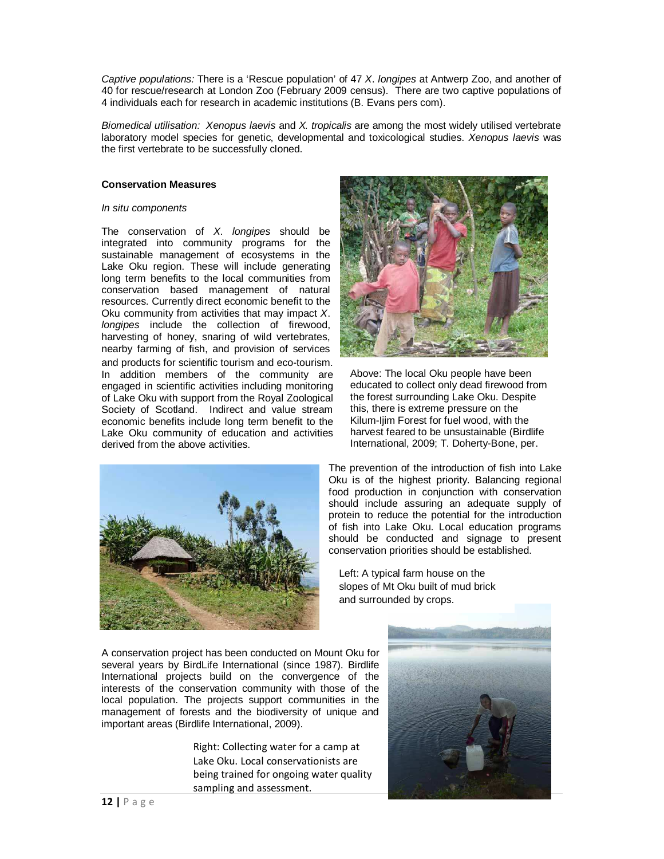Captive populations: There is a 'Rescue population' of 47 X. longipes at Antwerp Zoo, and another of 40 for rescue/research at London Zoo (February 2009 census). There are two captive populations of 4 individuals each for research in academic institutions (B. Evans pers com).

Biomedical utilisation: Xenopus laevis and X. tropicalis are among the most widely utilised vertebrate laboratory model species for genetic, developmental and toxicological studies. Xenopus laevis was the first vertebrate to be successfully cloned.

### **Conservation Measures**

#### In situ components

The conservation of  $X$ . longipes should be integrated into community programs for the sustainable management of ecosystems in the Lake Oku region. These will include generating long term benefits to the local communities from conservation based management of natural resources. Currently direct economic benefit to the Oku community from activities that may impact X. longipes include the collection of firewood, harvesting of honey, snaring of wild vertebrates, nearby farming of fish, and provision of services and products for scientific tourism and eco-tourism. In addition members of the community are engaged in scientific activities including monitoring of Lake Oku with support from the Royal Zoological Society of Scotland. Indirect and value stream economic benefits include long term benefit to the Lake Oku community of education and activities derived from the above activities.



Above: The local Oku people have been educated to collect only dead firewood from the forest surrounding Lake Oku. Despite this, there is extreme pressure on the Kilum-Ijim Forest for fuel wood, with the harvest feared to be unsustainable (Birdlife International, 2009; T. Doherty-Bone, per.



The prevention of the introduction of fish into Lake Oku is of the highest priority. Balancing regional food production in conjunction with conservation should include assuring an adequate supply of protein to reduce the potential for the introduction of fish into Lake Oku. Local education programs should be conducted and signage to present conservation priorities should be established.

Left: A typical farm house on the slopes of Mt Oku built of mud brick and surrounded by crops.

A conservation project has been conducted on Mount Oku for several years by BirdLife International (since 1987). Birdlife International projects build on the convergence of the interests of the conservation community with those of the local population. The projects support communities in the management of forests and the biodiversity of unique and important areas (Birdlife International, 2009).

> Right: Collecting water for a camp at Lake Oku. Local conservationists are being trained for ongoing water quality sampling and assessment.

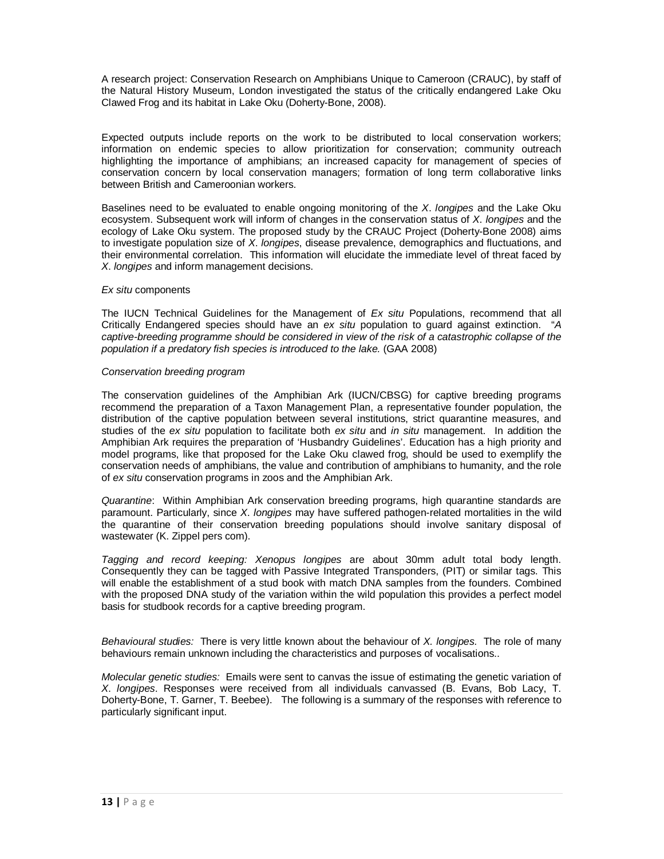A research project: Conservation Research on Amphibians Unique to Cameroon (CRAUC), by staff of the Natural History Museum, London investigated the status of the critically endangered Lake Oku Clawed Frog and its habitat in Lake Oku (Doherty-Bone, 2008).

Expected outputs include reports on the work to be distributed to local conservation workers; information on endemic species to allow prioritization for conservation; community outreach highlighting the importance of amphibians; an increased capacity for management of species of conservation concern by local conservation managers; formation of long term collaborative links between British and Cameroonian workers.

Baselines need to be evaluated to enable ongoing monitoring of the X. longipes and the Lake Oku ecosystem. Subsequent work will inform of changes in the conservation status of X. longipes and the ecology of Lake Oku system. The proposed study by the CRAUC Project (Doherty-Bone 2008) aims to investigate population size of X. longipes, disease prevalence, demographics and fluctuations, and their environmental correlation. This information will elucidate the immediate level of threat faced by X. longipes and inform management decisions.

#### Ex situ components

The IUCN Technical Guidelines for the Management of Ex situ Populations, recommend that all Critically Endangered species should have an ex situ population to quard against extinction. "A captive-breeding programme should be considered in view of the risk of a catastrophic collapse of the population if a predatory fish species is introduced to the lake. (GAA 2008)

#### Conservation breeding program

The conservation guidelines of the Amphibian Ark (IUCN/CBSG) for captive breeding programs recommend the preparation of a Taxon Management Plan, a representative founder population, the distribution of the captive population between several institutions, strict quarantine measures, and studies of the ex situ population to facilitate both ex situ and in situ management. In addition the Amphibian Ark requires the preparation of 'Husbandry Guidelines'. Education has a high priority and model programs, like that proposed for the Lake Oku clawed frog, should be used to exemplify the conservation needs of amphibians, the value and contribution of amphibians to humanity, and the role of ex situ conservation programs in zoos and the Amphibian Ark.

Quarantine: Within Amphibian Ark conservation breeding programs, high quarantine standards are paramount. Particularly, since X. longipes may have suffered pathogen-related mortalities in the wild the quarantine of their conservation breeding populations should involve sanitary disposal of wastewater (K. Zippel pers com).

Tagging and record keeping: Xenopus longipes are about 30mm adult total body length. Consequently they can be tagged with Passive Integrated Transponders, (PIT) or similar tags. This will enable the establishment of a stud book with match DNA samples from the founders. Combined with the proposed DNA study of the variation within the wild population this provides a perfect model basis for studbook records for a captive breeding program.

Behavioural studies: There is very little known about the behaviour of X. longipes. The role of many behaviours remain unknown including the characteristics and purposes of vocalisations..

Molecular genetic studies: Emails were sent to canvas the issue of estimating the genetic variation of X. longipes. Responses were received from all individuals canvassed (B. Evans, Bob Lacy, T. Doherty-Bone, T. Garner, T. Beebee). The following is a summary of the responses with reference to particularly significant input.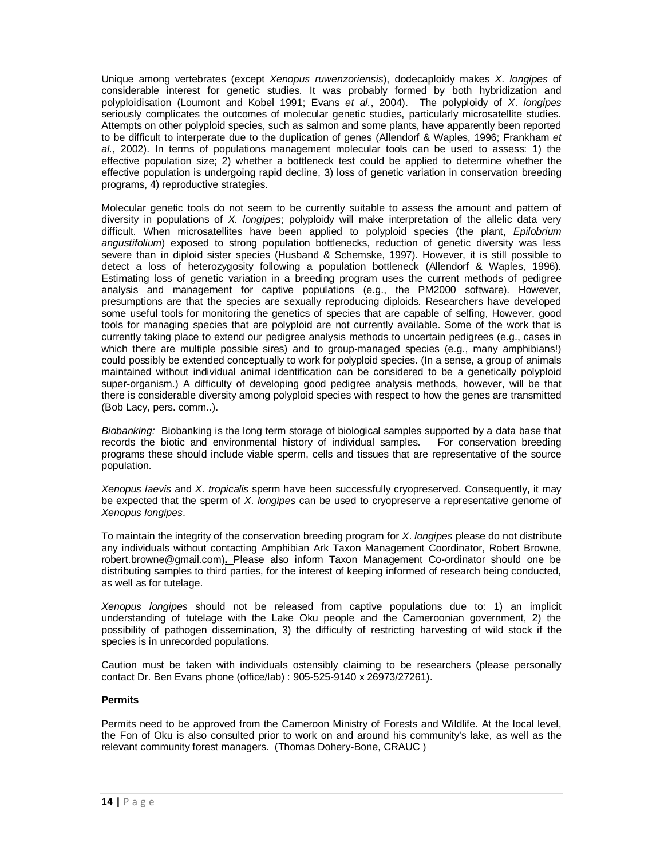Unique among vertebrates (except Xenopus ruwenzoriensis), dodecaploidy makes X. longipes of considerable interest for genetic studies. It was probably formed by both hybridization and polyploidisation (Loumont and Kobel 1991; Evans et al., 2004). The polyploidy of X. longipes seriously complicates the outcomes of molecular genetic studies, particularly microsatellite studies. Attempts on other polyploid species, such as salmon and some plants, have apparently been reported to be difficult to interperate due to the duplication of genes (Allendorf & Waples, 1996; Frankham et al., 2002). In terms of populations management molecular tools can be used to assess: 1) the effective population size; 2) whether a bottleneck test could be applied to determine whether the effective population is undergoing rapid decline, 3) loss of genetic variation in conservation breeding programs, 4) reproductive strategies.

Molecular genetic tools do not seem to be currently suitable to assess the amount and pattern of diversity in populations of  $X$ . longipes; polyploidy will make interpretation of the allelic data very difficult. When microsatellites have been applied to polyploid species (the plant, Epilobrium angustifolium) exposed to strong population bottlenecks, reduction of genetic diversity was less severe than in diploid sister species (Husband & Schemske, 1997). However, it is still possible to detect a loss of heterozygosity following a population bottleneck (Allendorf & Waples, 1996). Estimating loss of genetic variation in a breeding program uses the current methods of pedigree analysis and management for captive populations (e.g., the PM2000 software). However, presumptions are that the species are sexually reproducing diploids. Researchers have developed some useful tools for monitoring the genetics of species that are capable of selfing, However, good tools for managing species that are polyploid are not currently available. Some of the work that is currently taking place to extend our pedigree analysis methods to uncertain pedigrees (e.g., cases in which there are multiple possible sires) and to group-managed species (e.g., many amphibians!) could possibly be extended conceptually to work for polyploid species. (In a sense, a group of animals maintained without individual animal identification can be considered to be a genetically polyploid super-organism.) A difficulty of developing good pedigree analysis methods, however, will be that there is considerable diversity among polyploid species with respect to how the genes are transmitted (Bob Lacy, pers. comm..).

Biobanking: Biobanking is the long term storage of biological samples supported by a data base that records the biotic and environmental history of individual samples. For conservation breeding programs these should include viable sperm, cells and tissues that are representative of the source population.

Xenopus laevis and X. tropicalis sperm have been successfully cryopreserved. Consequently, it may be expected that the sperm of X. longipes can be used to cryopreserve a representative genome of Xenopus longipes.

To maintain the integrity of the conservation breeding program for X. longipes please do not distribute any individuals without contacting Amphibian Ark Taxon Management Coordinator, Robert Browne, robert.browne@gmail.com)**.** Please also inform Taxon Management Co-ordinator should one be distributing samples to third parties, for the interest of keeping informed of research being conducted, as well as for tutelage.

Xenopus longipes should not be released from captive populations due to: 1) an implicit understanding of tutelage with the Lake Oku people and the Cameroonian government, 2) the possibility of pathogen dissemination, 3) the difficulty of restricting harvesting of wild stock if the species is in unrecorded populations.

Caution must be taken with individuals ostensibly claiming to be researchers (please personally contact Dr. Ben Evans phone (office/lab) : 905-525-9140 x 26973/27261).

#### **Permits**

Permits need to be approved from the Cameroon Ministry of Forests and Wildlife. At the local level, the Fon of Oku is also consulted prior to work on and around his community's lake, as well as the relevant community forest managers. (Thomas Dohery-Bone, CRAUC )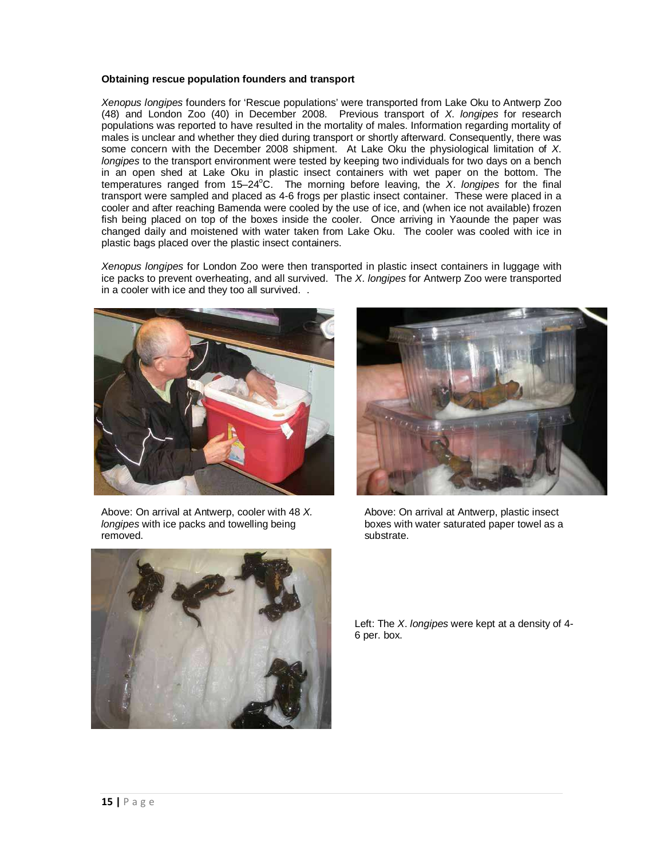#### **Obtaining rescue population founders and transport**

Xenopus longipes founders for 'Rescue populations' were transported from Lake Oku to Antwerp Zoo (48) and London Zoo (40) in December 2008. Previous transport of X. longipes for research populations was reported to have resulted in the mortality of males. Information regarding mortality of males is unclear and whether they died during transport or shortly afterward. Consequently, there was some concern with the December 2008 shipment. At Lake Oku the physiological limitation of X. longipes to the transport environment were tested by keeping two individuals for two days on a bench in an open shed at Lake Oku in plastic insect containers with wet paper on the bottom. The temperatures ranged from  $15-24^{\circ}\text{C}$ . The morning before leaving, the X. longipes for the final transport were sampled and placed as 4-6 frogs per plastic insect container. These were placed in a cooler and after reaching Bamenda were cooled by the use of ice, and (when ice not available) frozen fish being placed on top of the boxes inside the cooler. Once arriving in Yaounde the paper was changed daily and moistened with water taken from Lake Oku. The cooler was cooled with ice in plastic bags placed over the plastic insect containers.

Xenopus longipes for London Zoo were then transported in plastic insect containers in luggage with ice packs to prevent overheating, and all survived. The X. longipes for Antwerp Zoo were transported in a cooler with ice and they too all survived. .



Above: On arrival at Antwerp, cooler with 48 X. longipes with ice packs and towelling being removed.



Above: On arrival at Antwerp, plastic insect boxes with water saturated paper towel as a substrate.



Left: The X. longipes were kept at a density of 4- 6 per. box.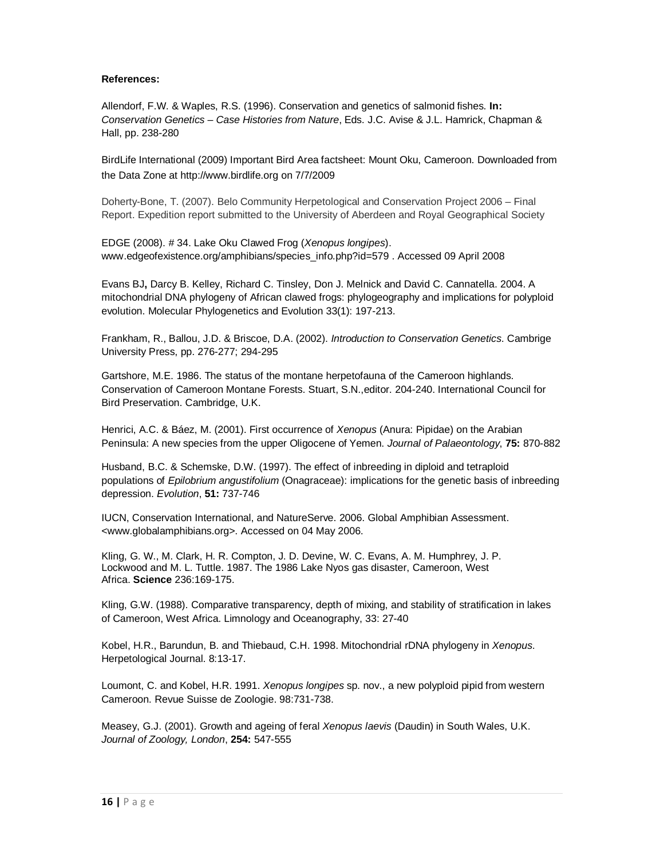## **References:**

Allendorf, F.W. & Waples, R.S. (1996). Conservation and genetics of salmonid fishes. **In:**  Conservation Genetics – Case Histories from Nature, Eds. J.C. Avise & J.L. Hamrick, Chapman & Hall, pp. 238-280

BirdLife International (2009) Important Bird Area factsheet: Mount Oku, Cameroon. Downloaded from the Data Zone at http://www.birdlife.org on 7/7/2009

Doherty-Bone, T. (2007). Belo Community Herpetological and Conservation Project 2006 – Final Report. Expedition report submitted to the University of Aberdeen and Royal Geographical Society

EDGE (2008). # 34. Lake Oku Clawed Frog (Xenopus longipes). www.edgeofexistence.org/amphibians/species\_info.php?id=579 . Accessed 09 April 2008

Evans BJ**,** Darcy B. Kelley, Richard C. Tinsley, Don J. Melnick and David C. Cannatella. 2004. A mitochondrial DNA phylogeny of African clawed frogs: phylogeography and implications for polyploid evolution. Molecular Phylogenetics and Evolution 33(1): 197-213.

Frankham, R., Ballou, J.D. & Briscoe, D.A. (2002). Introduction to Conservation Genetics. Cambrige University Press, pp. 276-277; 294-295

Gartshore, M.E. 1986. The status of the montane herpetofauna of the Cameroon highlands. Conservation of Cameroon Montane Forests. Stuart, S.N.,editor. 204-240. International Council for Bird Preservation. Cambridge, U.K.

Henrici, A.C. & Báez, M. (2001). First occurrence of Xenopus (Anura: Pipidae) on the Arabian Peninsula: A new species from the upper Oligocene of Yemen. Journal of Palaeontology, **75:** 870-882

Husband, B.C. & Schemske, D.W. (1997). The effect of inbreeding in diploid and tetraploid populations of Epilobrium angustifolium (Onagraceae): implications for the genetic basis of inbreeding depression. Evolution, **51:** 737-746

IUCN, Conservation International, and NatureServe. 2006. Global Amphibian Assessment. <www.globalamphibians.org>. Accessed on 04 May 2006.

Kling, G. W., M. Clark, H. R. Compton, J. D. Devine, W. C. Evans, A. M. Humphrey, J. P. Lockwood and M. L. Tuttle. 1987. The 1986 Lake Nyos gas disaster, Cameroon, West Africa. **Science** 236:169-175.

Kling, G.W. (1988). Comparative transparency, depth of mixing, and stability of stratification in lakes of Cameroon, West Africa. Limnology and Oceanography, 33: 27-40

Kobel, H.R., Barundun, B. and Thiebaud, C.H. 1998. Mitochondrial rDNA phylogeny in Xenopus. Herpetological Journal. 8:13-17.

Loumont, C. and Kobel, H.R. 1991. Xenopus longipes sp. nov., a new polyploid pipid from western Cameroon. Revue Suisse de Zoologie. 98:731-738.

Measey, G.J. (2001). Growth and ageing of feral Xenopus laevis (Daudin) in South Wales, U.K. Journal of Zoology, London, **254:** 547-555